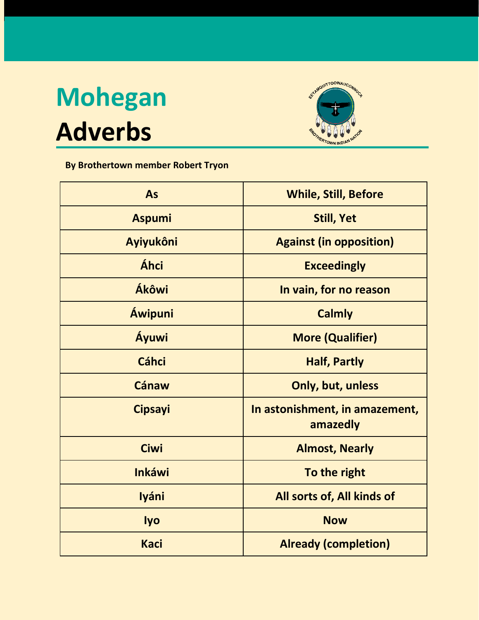## **Mohegan Adverbs**



## **By Brothertown member Robert Tryon**

| As             | <b>While, Still, Before</b>                |
|----------------|--------------------------------------------|
| <b>Aspumi</b>  | <b>Still, Yet</b>                          |
| Ayiyukôni      | <b>Against (in opposition)</b>             |
| Áhci           | <b>Exceedingly</b>                         |
| Ákôwi          | In vain, for no reason                     |
| <b>Áwipuni</b> | <b>Calmly</b>                              |
| Áyuwi          | <b>More (Qualifier)</b>                    |
| <b>Cáhci</b>   | <b>Half, Partly</b>                        |
| <b>Cánaw</b>   | Only, but, unless                          |
| <b>Cipsayi</b> | In astonishment, in amazement,<br>amazedly |
| <b>Ciwi</b>    | <b>Almost, Nearly</b>                      |
| <b>Inkáwi</b>  | To the right                               |
| <b>Iyáni</b>   | All sorts of, All kinds of                 |
| <b>lyo</b>     | <b>Now</b>                                 |
| <b>Kaci</b>    | <b>Already (completion)</b>                |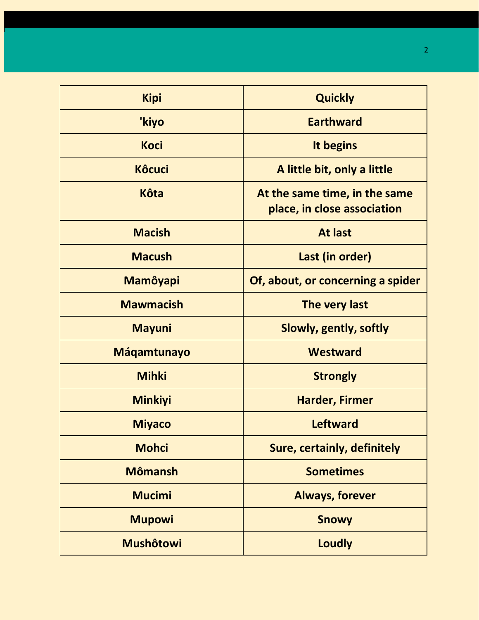| <b>Kipi</b>        | <b>Quickly</b>                                               |
|--------------------|--------------------------------------------------------------|
| 'kiyo              | <b>Earthward</b>                                             |
| <b>Koci</b>        | It begins                                                    |
| <b>Kôcuci</b>      | A little bit, only a little                                  |
| <b>Kôta</b>        | At the same time, in the same<br>place, in close association |
| <b>Macish</b>      | <b>At last</b>                                               |
| <b>Macush</b>      | Last (in order)                                              |
| <b>Mamôyapi</b>    | Of, about, or concerning a spider                            |
| <b>Mawmacish</b>   | The very last                                                |
| <b>Mayuni</b>      | <b>Slowly, gently, softly</b>                                |
| <b>Máqamtunayo</b> | <b>Westward</b>                                              |
| <b>Mihki</b>       | <b>Strongly</b>                                              |
| <b>Minkiyi</b>     | <b>Harder, Firmer</b>                                        |
| <b>Miyaco</b>      | <b>Leftward</b>                                              |
| <b>Mohci</b>       | <b>Sure, certainly, definitely</b>                           |
| <b>Mômansh</b>     | <b>Sometimes</b>                                             |
| <b>Mucimi</b>      | <b>Always, forever</b>                                       |
| <b>Mupowi</b>      | <b>Snowy</b>                                                 |
| <b>Mushôtowi</b>   | <b>Loudly</b>                                                |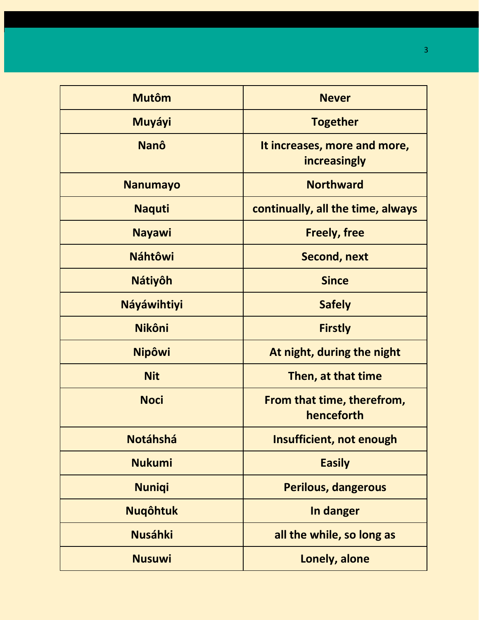| <b>Mutôm</b>       | <b>Never</b>                                 |
|--------------------|----------------------------------------------|
| Muyáyi             | <b>Together</b>                              |
| <b>Nanô</b>        | It increases, more and more,<br>increasingly |
| <b>Nanumayo</b>    | <b>Northward</b>                             |
| <b>Naquti</b>      | continually, all the time, always            |
| <b>Nayawi</b>      | <b>Freely, free</b>                          |
| <b>Náhtôwi</b>     | <b>Second, next</b>                          |
| <b>Nátiyôh</b>     | <b>Since</b>                                 |
| <b>Náyáwihtiyi</b> | <b>Safely</b>                                |
| <b>Nikôni</b>      | <b>Firstly</b>                               |
| <b>Nipôwi</b>      | At night, during the night                   |
| <b>Nit</b>         | Then, at that time                           |
| <b>Noci</b>        | From that time, therefrom,<br>henceforth     |
| <b>Notáhshá</b>    | Insufficient, not enough                     |
| <b>Nukumi</b>      | <b>Easily</b>                                |
| <b>Nuniqi</b>      | <b>Perilous, dangerous</b>                   |
| <b>Nugôhtuk</b>    | In danger                                    |
| <b>Nusáhki</b>     | all the while, so long as                    |
| <b>Nusuwi</b>      | Lonely, alone                                |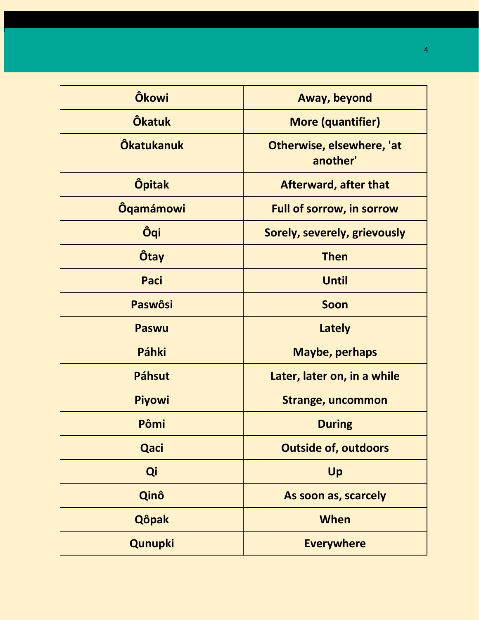| <b>Ôkowi</b>      | Away, beyond                          |
|-------------------|---------------------------------------|
| <b>Ôkatuk</b>     | <b>More (quantifier)</b>              |
| <b>Ôkatukanuk</b> | Otherwise, elsewhere, 'at<br>another' |
| <b>Öpitak</b>     | <b>Afterward, after that</b>          |
| <b>Ôqamámowi</b>  | <b>Full of sorrow, in sorrow</b>      |
| Ôqi               | Sorely, severely, grievously          |
| <b>Ôtay</b>       | <b>Then</b>                           |
| Paci              | <b>Until</b>                          |
| <b>Paswôsi</b>    | Soon                                  |
| <b>Paswu</b>      | <b>Lately</b>                         |
| Páhki             | Maybe, perhaps                        |
| <b>Páhsut</b>     | Later, later on, in a while           |
| <b>Piyowi</b>     | <b>Strange, uncommon</b>              |
| Pômi              | <b>During</b>                         |
| Qaci              | <b>Outside of, outdoors</b>           |
| Qi                | Up                                    |
| Qinô              | As soon as, scarcely                  |
| <b>Qôpak</b>      | When                                  |
| Qunupki           | <b>Everywhere</b>                     |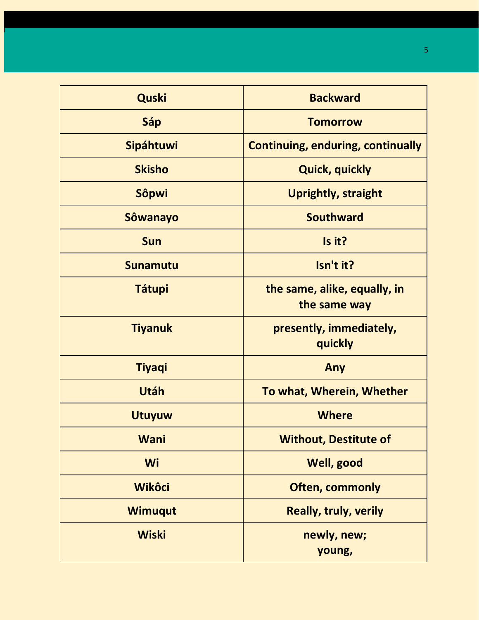| <b>Quski</b>    | <b>Backward</b>                              |
|-----------------|----------------------------------------------|
| Sáp             | <b>Tomorrow</b>                              |
| Sipáhtuwi       | <b>Continuing, enduring, continually</b>     |
| <b>Skisho</b>   | <b>Quick, quickly</b>                        |
| Sôpwi           | <b>Uprightly, straight</b>                   |
| <b>Sôwanayo</b> | <b>Southward</b>                             |
| <b>Sun</b>      | Is it?                                       |
| <b>Sunamutu</b> | Isn't it?                                    |
| <b>Tátupi</b>   | the same, alike, equally, in<br>the same way |
| <b>Tiyanuk</b>  | presently, immediately,<br>quickly           |
| <b>Tiyaqi</b>   | Any                                          |
| Utáh            | To what, Wherein, Whether                    |
| <b>Utuyuw</b>   | <b>Where</b>                                 |
| <b>Wani</b>     | <b>Without, Destitute of</b>                 |
| Wi              | <b>Well, good</b>                            |
| <b>Wikôci</b>   | <b>Often, commonly</b>                       |
| <b>Wimuqut</b>  | <b>Really, truly, verily</b>                 |
| <b>Wiski</b>    | newly, new;<br>young,                        |